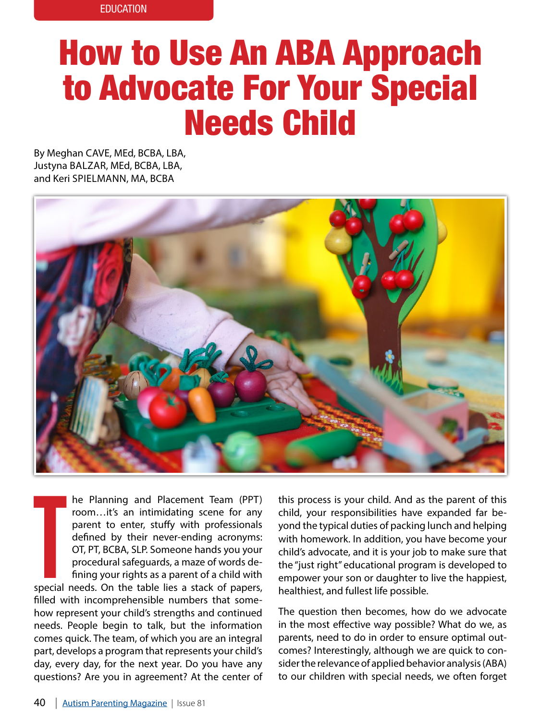# How to Use An ABA Approach to Advocate For Your Special Needs Child

By Meghan CAVE, MEd, BCBA, LBA, Justyna BALZAR, MEd, BCBA, LBA, and Keri SPIELMANN, MA, BCBA



he Planning and Placement Team (PPT) room…it's an intimidating scene for any parent to enter, stuffy with professionals defined by their never-ending acronyms: OT, PT, BCBA, SLP. Someone hands you your procedural safeguards, a maze of words defining your rights as a parent of a child with

T special needs. On the table lies a stack of papers, filled with incomprehensible numbers that somehow represent your child's strengths and continued needs. People begin to talk, but the information comes quick. The team, of which you are an integral part, develops a program that represents your child's day, every day, for the next year. Do you have any questions? Are you in agreement? At the center of

this process is your child. And as the parent of this child, your responsibilities have expanded far beyond the typical duties of packing lunch and helping with homework. In addition, you have become your child's advocate, and it is your job to make sure that the "just right" educational program is developed to empower your son or daughter to live the happiest, healthiest, and fullest life possible.

The question then becomes, how do we advocate in the most effective way possible? What do we, as parents, need to do in order to ensure optimal outcomes? Interestingly, although we are quick to consider the relevance of applied behavior analysis (ABA) to our children with special needs, we often forget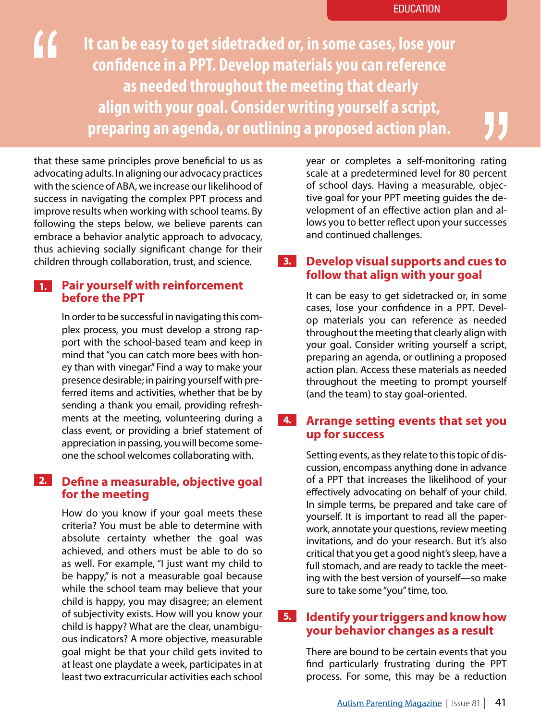**It can be easy to get sidetracked or, in some cases, lose your confidence in a PPT. Develop materials you can reference as needed throughout the meeting that clearly align with your goal. Consider writing yourself a script, preparing an agenda, or outlining a proposed action plan.** 

that these same principles prove beneficial to us as advocating adults. In aligning our advocacy practices with the science of ABA, we increase our likelihood of success in navigating the complex PPT process and improve results when working with school teams. By following the steps below, we believe parents can embrace a behavior analytic approach to advocacy, thus achieving socially significant change for their children through collaboration, trust, and science.

#### **Pair yourself with reinforcement before the PPT 1.**

In order to be successful in navigating this complex process, you must develop a strong rapport with the school-based team and keep in mind that "you can catch more bees with honey than with vinegar." Find a way to make your presence desirable; in pairing yourself with preferred items and activities, whether that be by sending a thank you email, providing refreshments at the meeting, volunteering during a class event, or providing a brief statement of appreciation in passing, you will become someone the school welcomes collaborating with.

## **Define a measurable, objective goal for the meeting 2.**

How do you know if your goal meets these criteria? You must be able to determine with absolute certainty whether the goal was achieved, and others must be able to do so as well. For example, "I just want my child to be happy," is not a measurable goal because while the school team may believe that your child is happy, you may disagree; an element of subjectivity exists. How will you know your child is happy? What are the clear, unambiguous indicators? A more objective, measurable goal might be that your child gets invited to at least one playdate a week, participates in at least two extracurricular activities each school

year or completes a self-monitoring rating scale at a predetermined level for 80 percent of school days. Having a measurable, objective goal for your PPT meeting guides the development of an effective action plan and allows you to better reflect upon your successes and continued challenges.

## **Develop visual supports and cues to follow that align with your goal 3.**

It can be easy to get sidetracked or, in some cases, lose your confidence in a PPT. Develop materials you can reference as needed throughout the meeting that clearly align with your goal. Consider writing yourself a script, preparing an agenda, or outlining a proposed action plan. Access these materials as needed throughout the meeting to prompt yourself (and the team) to stay goal-oriented.

## **Arrange setting events that set you up for success 4.**

Setting events, as they relate to this topic of discussion, encompass anything done in advance of a PPT that increases the likelihood of your effectively advocating on behalf of your child. In simple terms, be prepared and take care of yourself. It is important to read all the paperwork, annotate your questions, review meeting invitations, and do your research. But it's also critical that you get a good night's sleep, have a full stomach, and are ready to tackle the meeting with the best version of yourself—so make sure to take some "you" time, too.

## **Identify your triggers and know how your behavior changes as a result 5.**

There are bound to be certain events that you find particularly frustrating during the PPT process. For some, this may be a reduction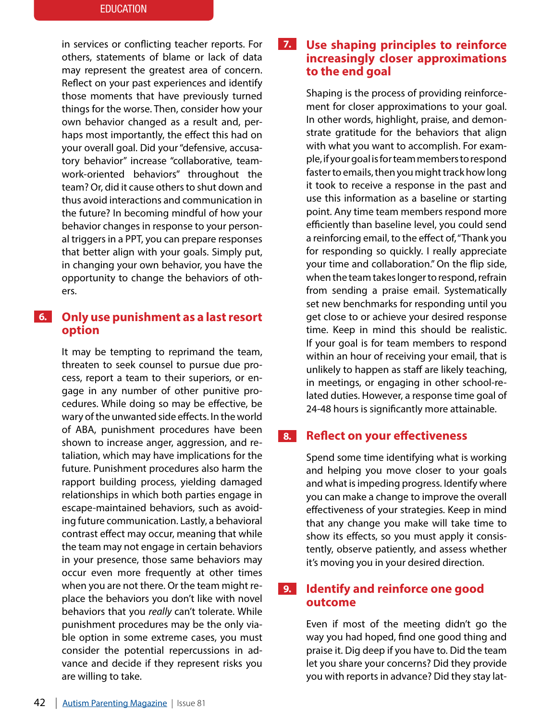in services or conflicting teacher reports. For others, statements of blame or lack of data may represent the greatest area of concern. Reflect on your past experiences and identify those moments that have previously turned things for the worse. Then, consider how your own behavior changed as a result and, perhaps most importantly, the effect this had on your overall goal. Did your "defensive, accusatory behavior" increase "collaborative, teamwork-oriented behaviors" throughout the team? Or, did it cause others to shut down and thus avoid interactions and communication in the future? In becoming mindful of how your behavior changes in response to your personal triggers in a PPT, you can prepare responses that better align with your goals. Simply put, in changing your own behavior, you have the opportunity to change the behaviors of others.

## **Only use punishment as a last resort 6. option**

It may be tempting to reprimand the team, threaten to seek counsel to pursue due process, report a team to their superiors, or engage in any number of other punitive procedures. While doing so may be effective, be wary of the unwanted side effects. In the world of ABA, punishment procedures have been shown to increase anger, aggression, and retaliation, which may have implications for the future. Punishment procedures also harm the rapport building process, yielding damaged relationships in which both parties engage in escape-maintained behaviors, such as avoiding future communication. Lastly, a behavioral contrast effect may occur, meaning that while the team may not engage in certain behaviors in your presence, those same behaviors may occur even more frequently at other times when you are not there. Or the team might replace the behaviors you don't like with novel behaviors that you *really* can't tolerate. While punishment procedures may be the only viable option in some extreme cases, you must consider the potential repercussions in advance and decide if they represent risks you are willing to take.

## **Use shaping principles to reinforce increasingly closer approximations to the end goal 7.**

Shaping is the process of providing reinforcement for closer approximations to your goal. In other words, highlight, praise, and demonstrate gratitude for the behaviors that align with what you want to accomplish. For example, if your goal is for team members to respond faster to emails, then you might track how long it took to receive a response in the past and use this information as a baseline or starting point. Any time team members respond more efficiently than baseline level, you could send a reinforcing email, to the effect of, "Thank you for responding so quickly. I really appreciate your time and collaboration." On the flip side, when the team takes longer to respond, refrain from sending a praise email. Systematically set new benchmarks for responding until you get close to or achieve your desired response time. Keep in mind this should be realistic. If your goal is for team members to respond within an hour of receiving your email, that is unlikely to happen as staff are likely teaching, in meetings, or engaging in other school-related duties. However, a response time goal of 24-48 hours is significantly more attainable.

#### **Reflect on your effectiveness 8.**

Spend some time identifying what is working and helping you move closer to your goals and what is impeding progress. Identify where you can make a change to improve the overall effectiveness of your strategies. Keep in mind that any change you make will take time to show its effects, so you must apply it consistently, observe patiently, and assess whether it's moving you in your desired direction.

#### **Identify and reinforce one good outcome 9.**

Even if most of the meeting didn't go the way you had hoped, find one good thing and praise it. Dig deep if you have to. Did the team let you share your concerns? Did they provide you with reports in advance? Did they stay lat